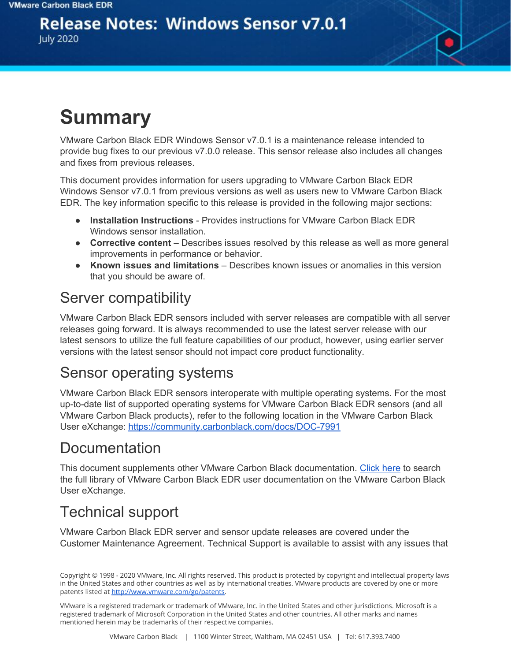# **Release Notes: Windows Sensor v7.0.1**

**July 2020** 

# **Summary**

VMware Carbon Black EDR Windows Sensor v7.0.1 is a maintenance release intended to provide bug fixes to our previous v7.0.0 release. This sensor release also includes all changes and fixes from previous releases.

This document provides information for users upgrading to VMware Carbon Black EDR Windows Sensor v7.0.1 from previous versions as well as users new to VMware Carbon Black EDR. The key information specific to this release is provided in the following major sections:

- **Installation Instructions** Provides instructions for VMware Carbon Black EDR Windows sensor installation.
- **Corrective content** Describes issues resolved by this release as well as more general improvements in performance or behavior.
- **Known issues and limitations** Describes known issues or anomalies in this version that you should be aware of.

#### Server compatibility

VMware Carbon Black EDR sensors included with server releases are compatible with all server releases going forward. It is always recommended to use the latest server release with our latest sensors to utilize the full feature capabilities of our product, however, using earlier server versions with the latest sensor should not impact core product functionality.

### Sensor operating systems

VMware Carbon Black EDR sensors interoperate with multiple operating systems. For the most up-to-date list of supported operating systems for VMware Carbon Black EDR sensors (and all VMware Carbon Black products), refer to the following location in the VMware Carbon Black User eXchange: <https://community.carbonblack.com/docs/DOC-7991>

### Documentation

This document supplements other VMware Carbon Black documentation. [Click](https://community.carbonblack.com/t5/Cb-Response/ct-p/cbresponse) here to search the full library of VMware Carbon Black EDR user documentation on the VMware Carbon Black User eXchange.

## Technical support

VMware Carbon Black EDR server and sensor update releases are covered under the Customer Maintenance Agreement. Technical Support is available to assist with any issues that

VMware is a registered trademark or trademark of VMware, Inc. in the United States and other jurisdictions. Microsoft is a registered trademark of Microsoft Corporation in the United States and other countries. All other marks and names mentioned herein may be trademarks of their respective companies.

Copyright © 1998 - 2020 VMware, Inc. All rights reserved. This product is protected by copyright and intellectual property laws in the United States and other countries as well as by international treaties. VMware products are covered by one or more patents listed at <http://www.vmware.com/go/patents>.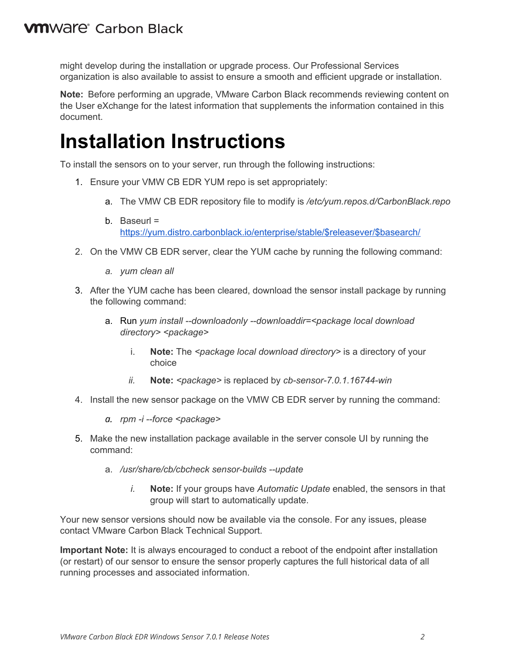might develop during the installation or upgrade process. Our Professional Services organization is also available to assist to ensure a smooth and efficient upgrade or installation.

**Note:** Before performing an upgrade, VMware Carbon Black recommends reviewing content on the User eXchange for the latest information that supplements the information contained in this document.

## **Installation Instructions**

To install the sensors on to your server, run through the following instructions:

- 1. Ensure your VMW CB EDR YUM repo is set appropriately:
	- a. The VMW CB EDR repository file to modify is */etc/yum.repos.d/CarbonBlack.repo*
	- b. Baseurl = [https://yum.distro.carbonblack.io/enterprise/stable/\\$releasever/\\$basearch/](https://yum.distro.carbonblack.io/enterprise/stable/$releasever/$basearch/)
- 2. On the VMW CB EDR server, clear the YUM cache by running the following command:
	- *a. yum clean all*
- 3. After the YUM cache has been cleared, download the sensor install package by running the following command:
	- a. Run *yum install --downloadonly --downloaddir=<package local download directory> <package>*
		- i. **Note:** The *<package local download directory>* is a directory of your choice
		- *ii.* **Note:** *<package>* is replaced by *cb-sensor-7.0.1.16744-win*
- 4. Install the new sensor package on the VMW CB EDR server by running the command:
	- *a. rpm -i --force <package>*
- 5. Make the new installation package available in the server console UI by running the command:
	- a. */usr/share/cb/cbcheck sensor-builds --update*
		- *i.* **Note:** If your groups have *Automatic Update* enabled, the sensors in that group will start to automatically update.

Your new sensor versions should now be available via the console. For any issues, please contact VMware Carbon Black Technical Support.

**Important Note:** It is always encouraged to conduct a reboot of the endpoint after installation (or restart) of our sensor to ensure the sensor properly captures the full historical data of all running processes and associated information.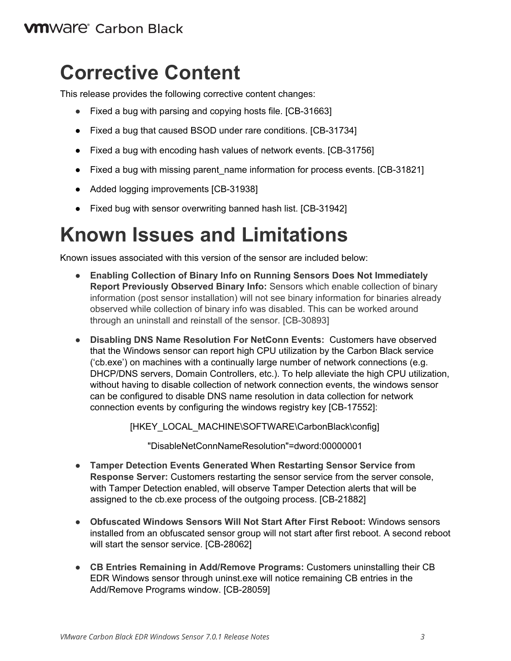#### **VM**Ware<sup>®</sup> Carbon Black

## **Corrective Content**

This release provides the following corrective content changes:

- Fixed a bug with parsing and copying hosts file. [CB-31663]
- Fixed a bug that caused BSOD under rare conditions. [CB-31734]
- Fixed a bug with encoding hash values of network events. [CB-31756]
- Fixed a bug with missing parent\_name information for process events. [CB-31821]
- Added logging improvements [CB-31938]
- Fixed bug with sensor overwriting banned hash list. [CB-31942]

# **Known Issues and Limitations**

Known issues associated with this version of the sensor are included below:

- **Enabling Collection of Binary Info on Running Sensors Does Not Immediately Report Previously Observed Binary Info:** Sensors which enable collection of binary information (post sensor installation) will not see binary information for binaries already observed while collection of binary info was disabled. This can be worked around through an uninstall and reinstall of the sensor. [CB-30893]
- **Disabling DNS Name Resolution For NetConn Events:** Customers have observed that the Windows sensor can report high CPU utilization by the Carbon Black service ('cb.exe') on machines with a continually large number of network connections (e.g. DHCP/DNS servers, Domain Controllers, etc.). To help alleviate the high CPU utilization, without having to disable collection of network connection events, the windows sensor can be configured to disable DNS name resolution in data collection for network connection events by configuring the windows registry key [CB-17552]:

[HKEY\_LOCAL\_MACHINE\SOFTWARE\CarbonBlack\config]

"DisableNetConnNameResolution"=dword:00000001

- **Tamper Detection Events Generated When Restarting Sensor Service from Response Server:** Customers restarting the sensor service from the server console, with Tamper Detection enabled, will observe Tamper Detection alerts that will be assigned to the cb.exe process of the outgoing process. [CB-21882]
- **Obfuscated Windows Sensors Will Not Start After First Reboot:** Windows sensors installed from an obfuscated sensor group will not start after first reboot. A second reboot will start the sensor service. [CB-28062]
- **CB Entries Remaining in Add/Remove Programs:** Customers uninstalling their CB EDR Windows sensor through uninst.exe will notice remaining CB entries in the Add/Remove Programs window. [CB-28059]